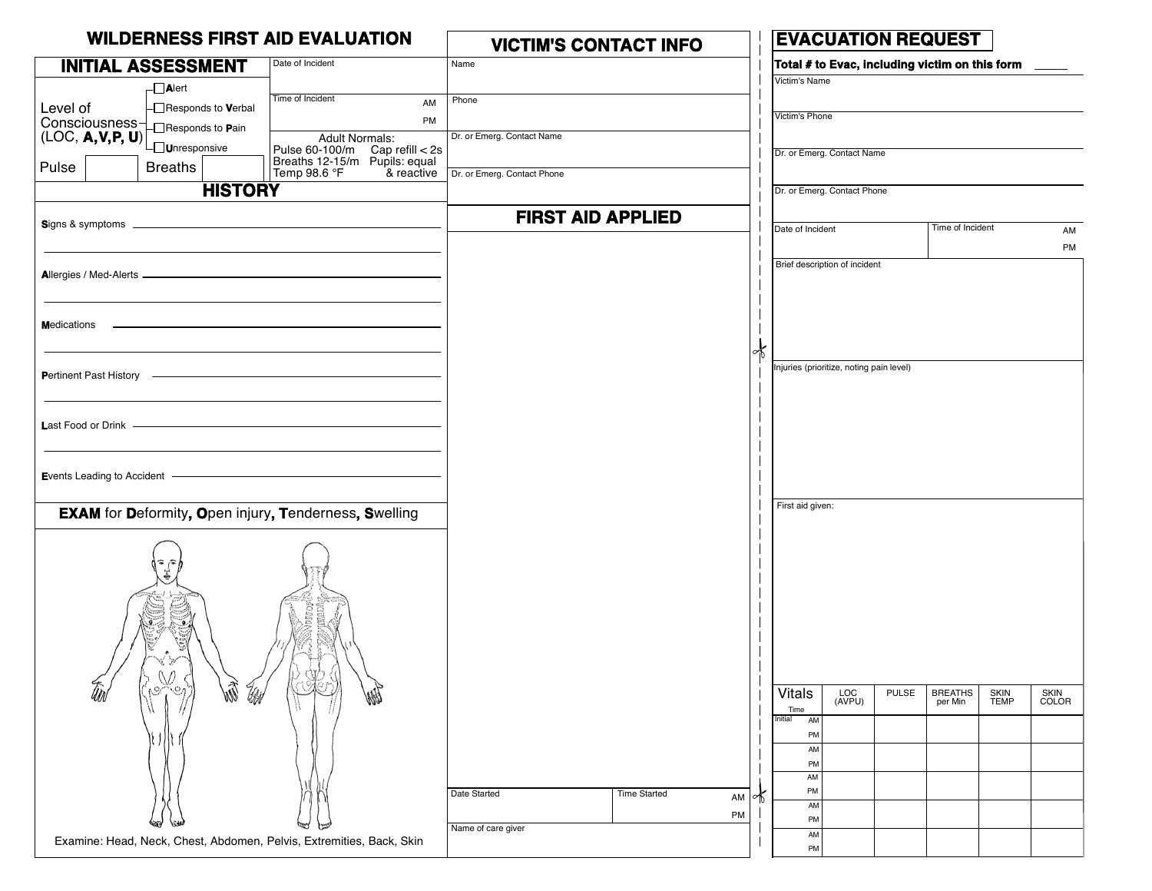| <b>WILDERNESS FIRST AID EVALUATION</b>                      |                                         |                                                                                               | <b>VICTIM'S CONTACT INFO</b>        |          | <b>EVACUATION REQUEST</b>                |                                                |                            |                      |  |
|-------------------------------------------------------------|-----------------------------------------|-----------------------------------------------------------------------------------------------|-------------------------------------|----------|------------------------------------------|------------------------------------------------|----------------------------|----------------------|--|
|                                                             | <b>INITIAL ASSESSMENT</b>               | Date of Incident                                                                              | Name                                |          |                                          | Total # to Evac, including victim on this form |                            |                      |  |
|                                                             | $\neg$ <b>Alert</b>                     |                                                                                               |                                     |          | Victim's Name                            |                                                |                            |                      |  |
| Level of                                                    | $\Box$ Responds to Verbal               | Time of Incident<br>AM                                                                        | Phone                               |          |                                          |                                                |                            |                      |  |
|                                                             |                                         | PM                                                                                            |                                     |          | Victim's Phone                           |                                                |                            |                      |  |
| Consciousness-<br>(LOC, <b>A, V, P, U)</b><br>Cunresponsive |                                         | <b>Adult Normals:</b>                                                                         | Dr. or Emerg. Contact Name          |          | Dr. or Emerg. Contact Name               |                                                |                            |                      |  |
| Pulse                                                       | <b>Breaths</b>                          | Pulse 60-100/m Cap refill < 2s<br>Breaths 12-15/m Pupils: equal<br>Temp 98.6 °F<br>& reactive | Dr. or Emerg. Contact Phone         |          |                                          |                                                |                            |                      |  |
|                                                             | <b>HISTORY</b>                          |                                                                                               |                                     |          | Dr. or Emerg. Contact Phone              |                                                |                            |                      |  |
|                                                             |                                         |                                                                                               | <b>FIRST AID APPLIED</b>            |          |                                          |                                                |                            |                      |  |
|                                                             |                                         |                                                                                               |                                     |          | Date of Incident                         | Time of Incident                               |                            | AM                   |  |
|                                                             |                                         |                                                                                               |                                     |          | Brief description of incident            |                                                |                            | PM                   |  |
|                                                             |                                         |                                                                                               |                                     |          |                                          |                                                |                            |                      |  |
|                                                             |                                         |                                                                                               |                                     |          |                                          |                                                |                            |                      |  |
| <b>Medications</b>                                          |                                         |                                                                                               |                                     |          |                                          |                                                |                            |                      |  |
|                                                             |                                         |                                                                                               |                                     |          |                                          |                                                |                            |                      |  |
|                                                             |                                         |                                                                                               |                                     |          | Injuries (prioritize, noting pain level) |                                                |                            |                      |  |
| Pertinent Past History -                                    |                                         |                                                                                               |                                     |          |                                          |                                                |                            |                      |  |
|                                                             |                                         |                                                                                               |                                     |          |                                          |                                                |                            |                      |  |
|                                                             |                                         |                                                                                               |                                     |          |                                          |                                                |                            |                      |  |
|                                                             |                                         |                                                                                               |                                     |          |                                          |                                                |                            |                      |  |
| <b>E</b> vents Leading to Accident                          |                                         |                                                                                               |                                     |          |                                          |                                                |                            |                      |  |
|                                                             |                                         |                                                                                               |                                     |          |                                          |                                                |                            |                      |  |
|                                                             |                                         | <b>EXAM</b> for Deformity, Open injury, Tenderness, Swelling                                  |                                     |          | First aid given:                         |                                                |                            |                      |  |
|                                                             | ها م<br>S<br>S<br>y<br>$(\Lambda)$<br>W | <b>SODEC</b><br>jine)<br>S<br>7Y)                                                             |                                     |          |                                          |                                                |                            |                      |  |
| tiol                                                        | ÃN<br>UM<br>٨G<br>-64                   | <b>Address</b>                                                                                |                                     |          | <b>Vitals</b><br>LOC<br>(AVPU)           | <b>PULSE</b><br><b>BREATHS</b><br>per Min      | <b>SKIN</b><br><b>TEMP</b> | <b>SKIN</b><br>COLOR |  |
|                                                             |                                         |                                                                                               |                                     |          | Time<br>Initial<br>AM                    |                                                |                            |                      |  |
|                                                             |                                         |                                                                                               |                                     |          | PM                                       |                                                |                            |                      |  |
|                                                             |                                         |                                                                                               |                                     |          | AM<br>PM                                 |                                                |                            |                      |  |
|                                                             |                                         |                                                                                               |                                     |          | AM                                       |                                                |                            |                      |  |
|                                                             |                                         |                                                                                               | Date Started<br><b>Time Started</b> | AM<br>≁โ | PM<br>AM                                 |                                                |                            |                      |  |
|                                                             |                                         |                                                                                               | Name of care giver                  | PM       | PM                                       |                                                |                            |                      |  |
|                                                             |                                         | Examine: Head, Neck, Chest, Abdomen, Pelvis, Extremities, Back, Skin                          |                                     |          | AM<br>PM                                 |                                                |                            |                      |  |